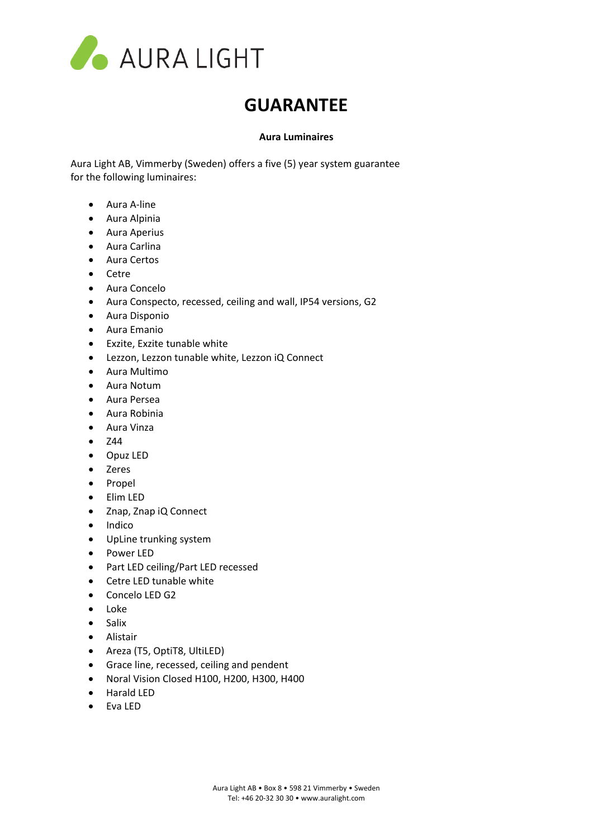

## **GUARANTEE**

## **Aura Luminaires**

Aura Light AB, Vimmerby (Sweden) offers a five (5) year system guarantee for the following luminaires:

- Aura A-line
- Aura Alpinia
- Aura Aperius
- Aura Carlina
- Aura Certos
- Cetre
- Aura Concelo
- Aura Conspecto, recessed, ceiling and wall, IP54 versions, G2
- Aura Disponio
- Aura Emanio
- Exzite, Exzite tunable white
- Lezzon, Lezzon tunable white, Lezzon iQ Connect
- Aura Multimo
- Aura Notum
- Aura Persea
- Aura Robinia
- Aura Vinza
- Z44
- Opuz LED
- Zeres
- Propel
- Elim LED
- Znap, Znap iQ Connect
- Indico
- UpLine trunking system
- Power LED
- Part LED ceiling/Part LED recessed
- Cetre LED tunable white
- Concelo LED G2
- Loke
- Salix
- Alistair
- Areza (T5, OptiT8, UltiLED)
- Grace line, recessed, ceiling and pendent
- Noral Vision Closed H100, H200, H300, H400
- Harald LED
- Eva LED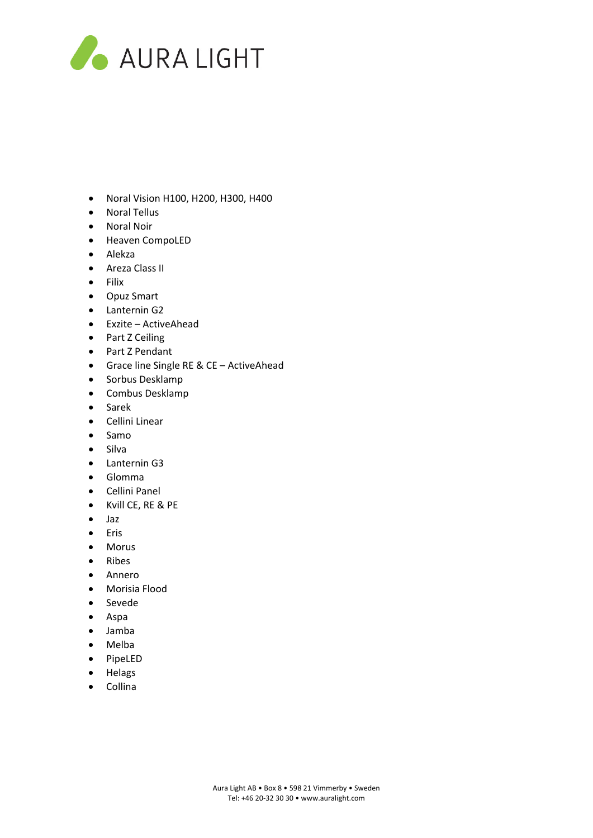

- Noral Vision H100, H200, H300, H400
- Noral Tellus
- Noral Noir
- Heaven CompoLED
- Alekza
- Areza Class II
- Filix
- Opuz Smart
- Lanternin G2
- Exzite ActiveAhead
- Part Z Ceiling
- Part Z Pendant
- Grace line Single RE & CE ActiveAhead
- Sorbus Desklamp
- Combus Desklamp
- Sarek
- Cellini Linear
- Samo
- Silva
- Lanternin G3
- Glomma
- Cellini Panel
- Kvill CE, RE & PE
- Jaz
- Eris
- Morus
- Ribes
- Annero
- Morisia Flood
- Sevede
- Aspa
- Jamba
- Melba
- PipeLED
- Helags
- Collina